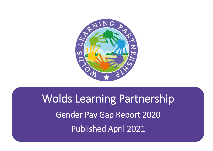

# Wolds Learning Partnership Gender Pay Gap Report 2020 Published April 2021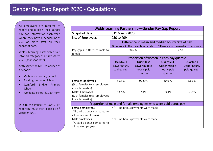All employers are required to report and publish their gender pay gap information each year, where they have a headcount of 250 or more staff on their snapshot date.

Wolds Learning Partnership falls into this category as at  $31<sup>st</sup>$  March 2020 (snapshot date).

At this time the MAT comprised of 4 schools:

- Melbourne Primary School
- Pocklington Junior School
- Stamford Bridge Primary School
- Woldgate School & Sixth Form

Due to the impact of COVID 19, reporting must take place by 5<sup>th</sup> October 2021.

| <b>Wolds Learning Partnership - Gender Pay Gap Report</b>                       |                                                  |                                                             |                                                                    |                                                          |  |  |  |  |
|---------------------------------------------------------------------------------|--------------------------------------------------|-------------------------------------------------------------|--------------------------------------------------------------------|----------------------------------------------------------|--|--|--|--|
| Snapshot date                                                                   | 31 <sup>st</sup> March 2020                      |                                                             |                                                                    |                                                          |  |  |  |  |
| No. of Employees                                                                | 250 to 499                                       |                                                             |                                                                    |                                                          |  |  |  |  |
|                                                                                 | Difference in mean and median hourly rate of pay |                                                             |                                                                    |                                                          |  |  |  |  |
|                                                                                 |                                                  | Difference in the mean hourly rate                          | Difference in the median hourly rate                               |                                                          |  |  |  |  |
| Pay gap % difference male to<br>female                                          | 28.6%                                            |                                                             | 53.2%                                                              |                                                          |  |  |  |  |
|                                                                                 | Proportion of women in each pay quartile         |                                                             |                                                                    |                                                          |  |  |  |  |
|                                                                                 | Quartile 1<br>Lower hourly<br>paid quarter       | <b>Quartile 2</b><br>Lower middle<br>hourly paid<br>quarter | <b>Quartile 3</b><br><b>Upper middle</b><br>hourly paid<br>quarter | <b>Quartile 4</b><br><b>Upper hourly</b><br>paid quarter |  |  |  |  |
| <b>Females Employees</b><br>(% of females to all employees<br>in each quartile) | 85.5%                                            | 92.6%                                                       | 80.9%                                                              | 63.2%                                                    |  |  |  |  |
| <b>Males Employees</b><br>(% of females to all employees<br>in each quartile)   | 14.5%                                            | 7.4%                                                        | 19.1%                                                              | 36.8%                                                    |  |  |  |  |
| Proportion of male and female employees who were paid bonus pay                 |                                                  |                                                             |                                                                    |                                                          |  |  |  |  |
| Female employees<br>(% paid a bonus compared to<br>all female employees)        | $N/A$ – no bonus payments were made              |                                                             |                                                                    |                                                          |  |  |  |  |
| Male employees<br>(% paid a bonus compared to<br>all male employees)            | $N/A$ – no bonus payments were made              |                                                             |                                                                    |                                                          |  |  |  |  |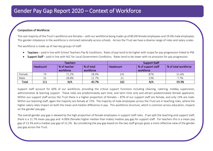## Gender Pay Gap Report 2020 – Context of Workforce

#### Composition of Workforce:

The vast majority of the Trust's workforce are females – with our workforce being made up of 80.6% female employees and 19.4% male employees. This gender imbalance in the workforce is mirrored nationally across schools. Across the Trust we have a diverse range of roles and salary scales.

The workforce is made up of two key groups of staff:

Teachers – paid in line with School Teachers Pay & Conditions. Rates of pay tend to be higher with scope for pay progression linked to PM.

|        | <b>Teachers</b> |                           |                         | <b>Support Staff</b> |                                 |                      |  |
|--------|-----------------|---------------------------|-------------------------|----------------------|---------------------------------|----------------------|--|
|        | Headcount       | % of teacher<br>workforce | % of total<br>workforce | Headcount            | % of support staff<br>workforce | % of total workforce |  |
| Female | 79              | 71.2%                     | 28.9%                   | 141                  | 87%                             | 51.6%                |  |
| Male   | 32              | 28.8%                     | 11.7%                   | 21                   | 13%                             | 7.7%                 |  |
| Total  | 111             | N/A                       | 40.7%                   | 162                  | N/A                             | 59.3%                |  |

Support Staff – paid in line with NJC for Local Government Conditions. Rates tend to be lower with no provision for pay progression.

Support staff account for 60% of our workforce, providing the critical support functions including cleaning, catering, midday supervision, administration & learning support. These roles are predominately part time, and term time only and attract predominately female applicants. Within our support staff across the Trust there is a higher proportion of females – 87% of our support staff are female, and only 13% are male. Within our teaching staff, again the majority are female at 72%. The majority of male employees across the Trust are in teaching roles, where the higher salary rates impact on both the mean and median difference in pay. This workforce structure, which is common across education, impacts on the gender pay gap.

The overall gender pay gap is skewed by the high proportion of female employees in support staff roles. If we split the teaching and support staff, there is a 11.7% mean pay gap and -4.06% (females higher median than males) median pay gap for support staff. For teachers this is a mean pay gap of 13.3% and a median pay gap of 12.2%. By considering the pay gap based on the two staff groups gives a more reflective view of the gender pay gap across the Trust.